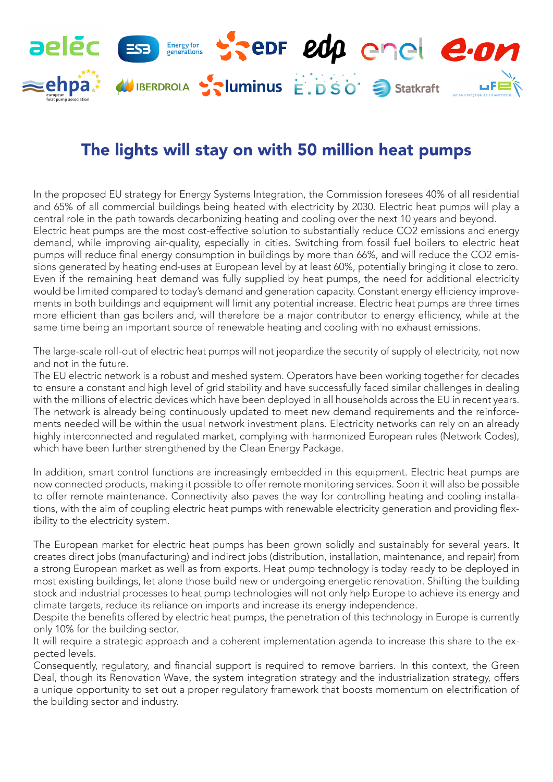

## The lights will stay on with 50 million heat pumps

In the proposed EU strategy for Energy Systems Integration, the Commission foresees 40% of all residential and 65% of all commercial buildings being heated with electricity by 2030. Electric heat pumps will play a central role in the path towards decarbonizing heating and cooling over the next 10 years and beyond. Electric heat pumps are the most cost-effective solution to substantially reduce CO2 emissions and energy demand, while improving air-quality, especially in cities. Switching from fossil fuel boilers to electric heat pumps will reduce final energy consumption in buildings by more than 66%, and will reduce the CO2 emissions generated by heating end-uses at European level by at least 60%, potentially bringing it close to zero. Even if the remaining heat demand was fully supplied by heat pumps, the need for additional electricity would be limited compared to today's demand and generation capacity. Constant energy efficiency improvements in both buildings and equipment will limit any potential increase. Electric heat pumps are three times more efficient than gas boilers and, will therefore be a major contributor to energy efficiency, while at the same time being an important source of renewable heating and cooling with no exhaust emissions.

The large-scale roll-out of electric heat pumps will not jeopardize the security of supply of electricity, not now and not in the future.

The EU electric network is a robust and meshed system. Operators have been working together for decades to ensure a constant and high level of grid stability and have successfully faced similar challenges in dealing with the millions of electric devices which have been deployed in all households across the EU in recent years. The network is already being continuously updated to meet new demand requirements and the reinforcements needed will be within the usual network investment plans. Electricity networks can rely on an already highly interconnected and regulated market, complying with harmonized European rules (Network Codes), which have been further strengthened by the Clean Energy Package.

In addition, smart control functions are increasingly embedded in this equipment. Electric heat pumps are now connected products, making it possible to offer remote monitoring services. Soon it will also be possible to offer remote maintenance. Connectivity also paves the way for controlling heating and cooling installations, with the aim of coupling electric heat pumps with renewable electricity generation and providing flexibility to the electricity system.

The European market for electric heat pumps has been grown solidly and sustainably for several years. It creates direct jobs (manufacturing) and indirect jobs (distribution, installation, maintenance, and repair) from a strong European market as well as from exports. Heat pump technology is today ready to be deployed in most existing buildings, let alone those build new or undergoing energetic renovation. Shifting the building stock and industrial processes to heat pump technologies will not only help Europe to achieve its energy and climate targets, reduce its reliance on imports and increase its energy independence.

Despite the benefits offered by electric heat pumps, the penetration of this technology in Europe is currently only 10% for the building sector.

It will require a strategic approach and a coherent implementation agenda to increase this share to the expected levels.

Consequently, regulatory, and financial support is required to remove barriers. In this context, the Green Deal, though its Renovation Wave, the system integration strategy and the industrialization strategy, offers a unique opportunity to set out a proper regulatory framework that boosts momentum on electrification of the building sector and industry.